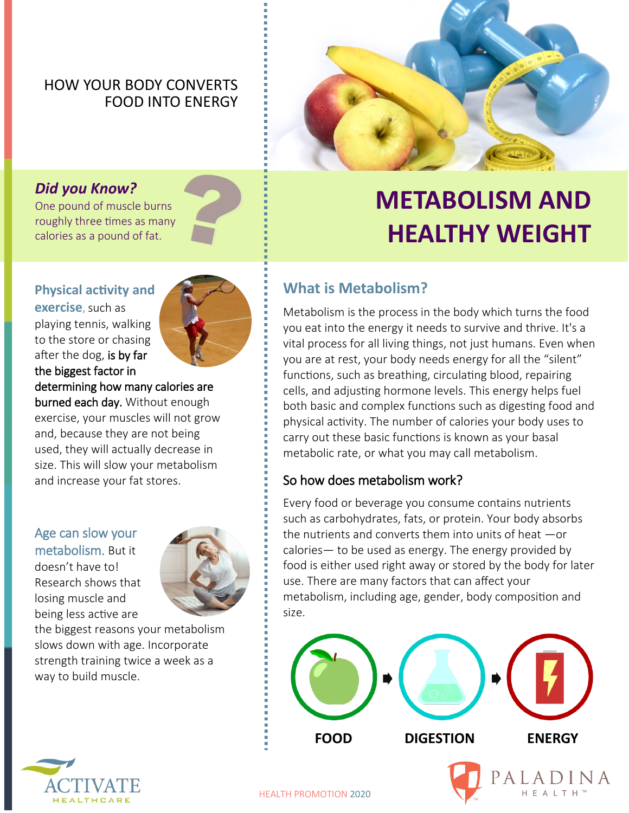## HOW YOUR BODY CONVERTS FOOD INTO ENERGY



## *Did you Know?*

One pound of muscle burns roughly three times as many calories as a pound of fat.

### **Physical activity and**

**exercise**, such as playing tennis, walking to the store or chasing after the dog, is by far the biggest factor in



## determining how many calories are

burned each day. Without enough exercise, your muscles will not grow and, because they are not being used, they will actually decrease in size. This will slow your metabolism and increase your fat stores.

### Age can slow your metabolism. But it doesn't have to!

Research shows that losing muscle and being less active are



the biggest reasons your metabolism slows down with age. Incorporate strength training twice a week as a way to build muscle.

## **METABOLISM AND HEALTHY WEIGHT**

## **What is Metabolism?**

Metabolism is the process in the body which turns the food you eat into the energy it needs to survive and thrive. It's a vital process for all living things, not just humans. Even when you are at rest, your body needs energy for all the "silent" functions, such as breathing, circulating blood, repairing cells, and adjusting hormone levels. This energy helps fuel both basic and complex functions such as digesting food and physical activity. The number of calories your body uses to carry out these basic functions is known as your basal metabolic rate, or what you may call metabolism.

### So how does metabolism work?

Every food or beverage you consume contains nutrients such as carbohydrates, fats, or protein. Your body absorbs the nutrients and converts them into units of heat —or calories— to be used as energy. The energy provided by food is either used right away or stored by the body for later use. There are many factors that can affect your metabolism, including age, gender, body composition and size.



HEALTH PROMOTION 2020